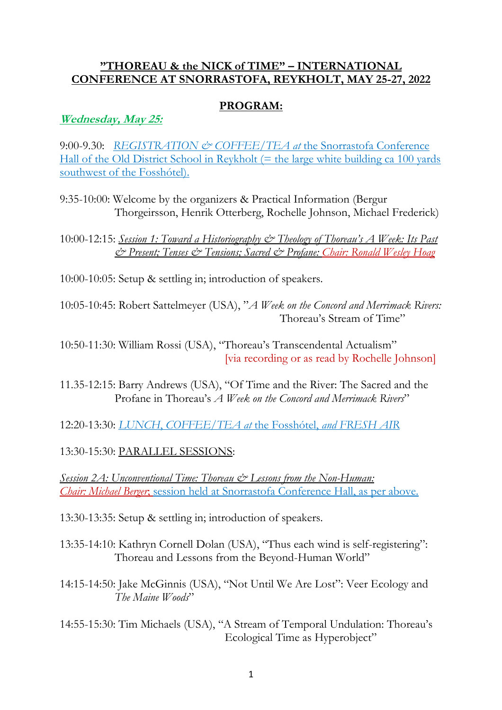### **"THOREAU & the NICK of TIME" – INTERNATIONAL CONFERENCE AT SNORRASTOFA, REYKHOLT, MAY 25-27, 2022**

### **PROGRAM:**

**Wednesday, May 25:**

9:00-9.30: *REGISTRATION & COFFEE/TEA at* the Snorrastofa Conference Hall of the Old District School in Reykholt  $(=$  the large white building ca 100 yards southwest of the Fosshótel).

9:35-10:00: Welcome by the organizers & Practical Information (Bergur Thorgeirsson, Henrik Otterberg, Rochelle Johnson, Michael Frederick)

10:00-12:15: *Session 1: Toward a Historiography & Theology of Thoreau's A Week: Its Past & Present; Tenses & Tensions; Sacred & Profane: Chair: Ronald Wesley Hoag*

10:00-10:05: Setup & settling in; introduction of speakers.

10:05-10:45: Robert Sattelmeyer (USA), "*A Week on the Concord and Merrimack Rivers:*  Thoreau's Stream of Time"

10:50-11:30: William Rossi (USA), "Thoreau's Transcendental Actualism" [via recording or as read by Rochelle Johnson]

- 11.35-12:15: Barry Andrews (USA), "Of Time and the River: The Sacred and the Profane in Thoreau's *A Week on the Concord and Merrimack Rivers*"
- 12:20-13:30: *LUNCH*, *COFFEE/TEA at* the Fosshótel, *and FRESH AIR*

13:30-15:30: PARALLEL SESSIONS:

*Session 2A: Unconventional Time: Thoreau & Lessons from the Non-Human: Chair: Michael Berger*; session held at Snorrastofa Conference Hall, as per above.

13:30-13:35: Setup & settling in; introduction of speakers.

- 13:35-14:10: Kathryn Cornell Dolan (USA), "Thus each wind is self-registering": Thoreau and Lessons from the Beyond-Human World"
- 14:15-14:50: Jake McGinnis (USA), "Not Until We Are Lost": Veer Ecology and *The Maine Woods*"
- 14:55-15:30: Tim Michaels (USA), "A Stream of Temporal Undulation: Thoreau's Ecological Time as Hyperobject"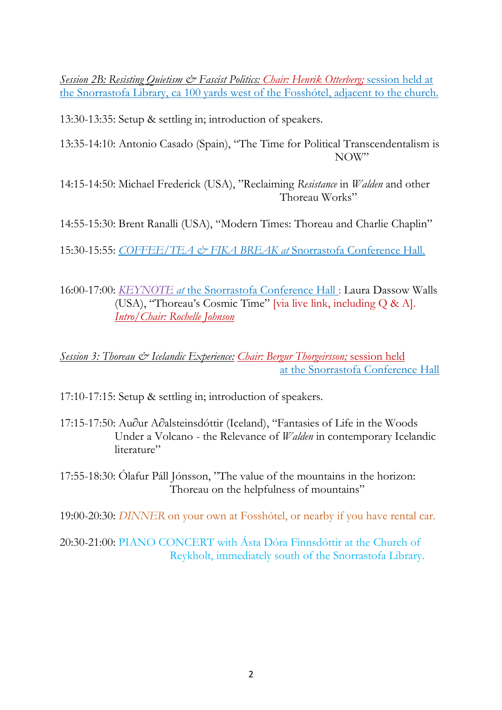*Session 2B: Resisting Quietism & Fascist Politics: Chair: Henrik Otterberg;* session held at the Snorrastofa Library, ca 100 yards west of the Fosshótel, adjacent to the church.

13:30-13:35: Setup & settling in; introduction of speakers.

- 13:35-14:10: Antonio Casado (Spain), "The Time for Political Transcendentalism is NOW"
- 14:15-14:50: Michael Frederick (USA), "Reclaiming *Resistance* in *Walden* and other Thoreau Works"

14:55-15:30: Brent Ranalli (USA), "Modern Times: Thoreau and Charlie Chaplin"

15:30-15:55: *COFFEE/TEA & FIKA BREAK at* Snorrastofa Conference Hall.

16:00-17:00: *KEYNOTE at* the Snorrastofa Conference Hall : Laura Dassow Walls (USA), "Thoreau's Cosmic Time" [via live link, including Q & A]. *Intro/Chair: Rochelle Johnson*

## *Session 3: Thoreau & Icelandic Experience: Chair: Bergur Thorgeirsson;* session held at the Snorrastofa Conference Hall

17:10-17:15: Setup & settling in; introduction of speakers.

- 17:15-17:50: Au∂ur A∂alsteinsdóttir (Iceland), "Fantasies of Life in the Woods Under a Volcano - the Relevance of *Walden* in contemporary Icelandic literature"
- 17:55-18:30: Ólafur Páll Jónsson, "The value of the mountains in the horizon: Thoreau on the helpfulness of mountains"

19:00-20:30: *DINNER* on your own at Fosshótel, or nearby if you have rental car.

20:30-21:00: PIANO CONCERT with Ásta Dóra Finnsdóttir at the Church of Reykholt, immediately south of the Snorrastofa Library.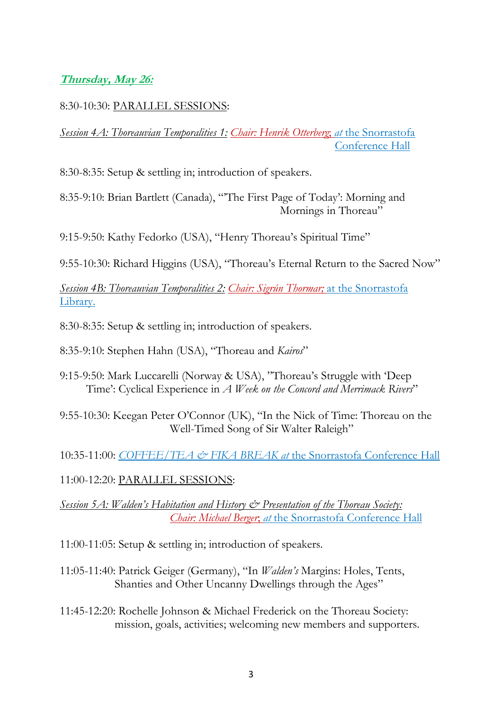## **Thursday, May 26:**

### 8:30-10:30: PARALLEL SESSIONS:

*Session 4A: Thoreauvian Temporalities 1: Chair: Henrik Otterberg*; *at* the Snorrastofa Conference Hall

8:30-8:35: Setup & settling in; introduction of speakers.

8:35-9:10: Brian Bartlett (Canada), "'The First Page of Today': Morning and Mornings in Thoreau"

9:15-9:50: Kathy Fedorko (USA), "Henry Thoreau's Spiritual Time"

9:55-10:30: Richard Higgins (USA), "Thoreau's Eternal Return to the Sacred Now"

*Session 4B: Thoreauvian Temporalities 2: Chair: Sigrún Thormar;* at the Snorrastofa Library.

8:30-8:35: Setup & settling in; introduction of speakers.

8:35-9:10: Stephen Hahn (USA), "Thoreau and *Kairos*"

- 9:15-9:50: Mark Luccarelli (Norway & USA), "Thoreau's Struggle with 'Deep Time': Cyclical Experience in *A Week on the Concord and Merrimack Rivers*"
- 9:55-10:30: Keegan Peter O'Connor (UK), "In the Nick of Time: Thoreau on the Well-Timed Song of Sir Walter Raleigh"
- 10:35-11:00: *COFFEE/TEA & FIKA BREAK at* the Snorrastofa Conference Hall

11:00-12:20: PARALLEL SESSIONS:

*Session 5A: Walden's Habitation and History & Presentation of the Thoreau Society: Chair: Michael Berger*; *at* the Snorrastofa Conference Hall

- 11:00-11:05: Setup & settling in; introduction of speakers.
- 11:05-11:40: Patrick Geiger (Germany), "In *Walden's* Margins: Holes, Tents, Shanties and Other Uncanny Dwellings through the Ages"
- 11:45-12:20: Rochelle Johnson & Michael Frederick on the Thoreau Society: mission, goals, activities; welcoming new members and supporters.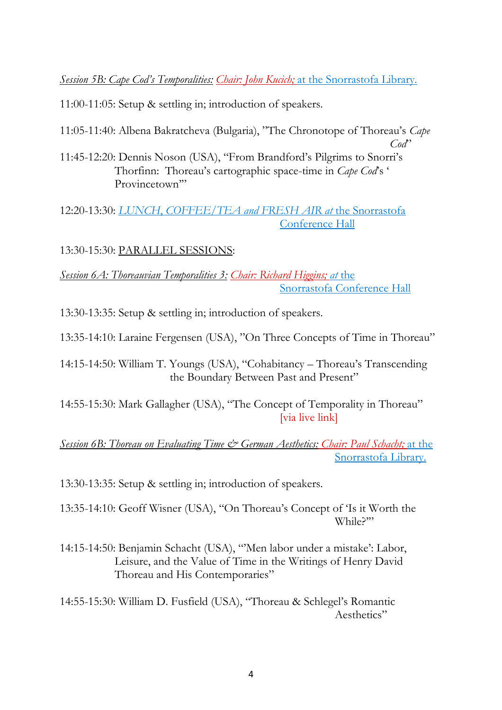*Session 5B: Cape Cod's Temporalities: Chair: John Kucich;* at the Snorrastofa Library.

11:00-11:05: Setup & settling in; introduction of speakers.

11:05-11:40: Albena Bakratcheva (Bulgaria), "The Chronotope of Thoreau's *Cape* 

*Cod*" 11:45-12:20: Dennis Noson (USA), "From Brandford's Pilgrims to Snorri's Thorfinn: Thoreau's cartographic space-time in *Cape Cod*'s ' Provincetown"

12:20-13:30: *LUNCH*, *COFFEE/TEA and FRESH AIR at* the Snorrastofa Conference Hall

13:30-15:30: PARALLEL SESSIONS:

*Session 6A: Thoreauvian Temporalities 3: Chair: Richard Higgins; at* the Snorrastofa Conference Hall

13:30-13:35: Setup & settling in; introduction of speakers.

13:35-14:10: Laraine Fergensen (USA), "On Three Concepts of Time in Thoreau"

14:15-14:50: William T. Youngs (USA), "Cohabitancy – Thoreau's Transcending the Boundary Between Past and Present"

14:55-15:30: Mark Gallagher (USA), "The Concept of Temporality in Thoreau" [via live link]

## *Session 6B: Thoreau on Evaluating Time & German Aesthetics: Chair: Paul Schacht;* at the Snorrastofa Library.

13:30-13:35: Setup & settling in; introduction of speakers.

13:35-14:10: Geoff Wisner (USA), "On Thoreau's Concept of 'Is it Worth the While?'"

14:15-14:50: Benjamin Schacht (USA), "'Men labor under a mistake': Labor, Leisure, and the Value of Time in the Writings of Henry David Thoreau and His Contemporaries"

14:55-15:30: William D. Fusfield (USA), "Thoreau & Schlegel's Romantic Aesthetics"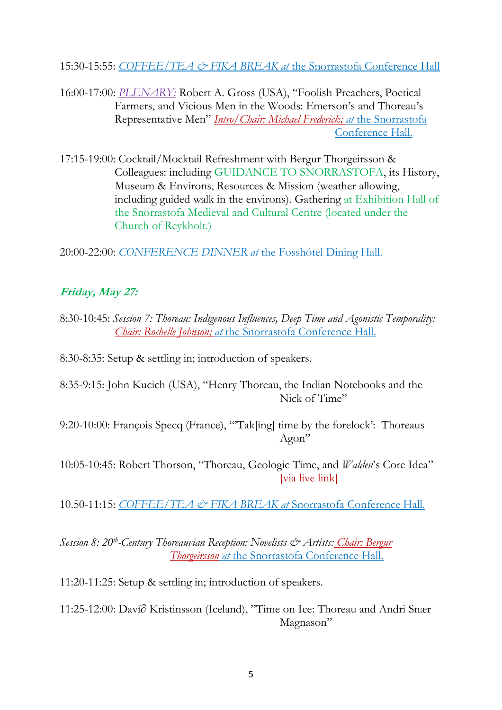15:30-15:55: *COFFEE/TEA & FIKA BREAK at* the Snorrastofa Conference Hall

- 16:00-17:00: *PLENARY:* Robert A. Gross (USA), "Foolish Preachers, Poetical Farmers, and Vicious Men in the Woods: Emerson's and Thoreau's Representative Men" *Intro/Chair: Michael Frederick; at* the Snorrastofa Conference Hall.
- 17:15-19:00: Cocktail/Mocktail Refreshment with Bergur Thorgeirsson & Colleagues: including GUIDANCE TO SNORRASTOFA, its History, Museum & Environs, Resources & Mission (weather allowing, including guided walk in the environs). Gathering at Exhibition Hall of the Snorrastofa Medieval and Cultural Centre (located under the Church of Reykholt.)

20:00-22:00: *CONFERENCE DINNER at* the Fosshótel Dining Hall.

# **Friday, May 27:**

8:30-10:45: *Session 7: Thoreau: Indigenous Influences, Deep Time and Agonistic Temporality: Chair: Rochelle Johnson; at* the Snorrastofa Conference Hall.

8:30-8:35: Setup & settling in; introduction of speakers.

8:35-9:15: John Kucich (USA), "Henry Thoreau, the Indian Notebooks and the Nick of Time"

9:20-10:00: François Specq (France), "'Tak[ing] time by the forelock': Thoreaus Agon"

10:05-10:45: Robert Thorson, "Thoreau, Geologic Time, and *Walden*'s Core Idea" [via live link]

10.50-11:15: *COFFEE/TEA & FIKA BREAK at* Snorrastofa Conference Hall.

*Session 8: 20th -Century Thoreauvian Reception: Novelists & Artists: Chair: Bergur Thorgeirsson at* the Snorrastofa Conference Hall.

11:20-11:25: Setup & settling in; introduction of speakers.

11:25-12:00: Daví∂ Kristinsson (Iceland), "Time on Ice: Thoreau and Andri Snær Magnason"